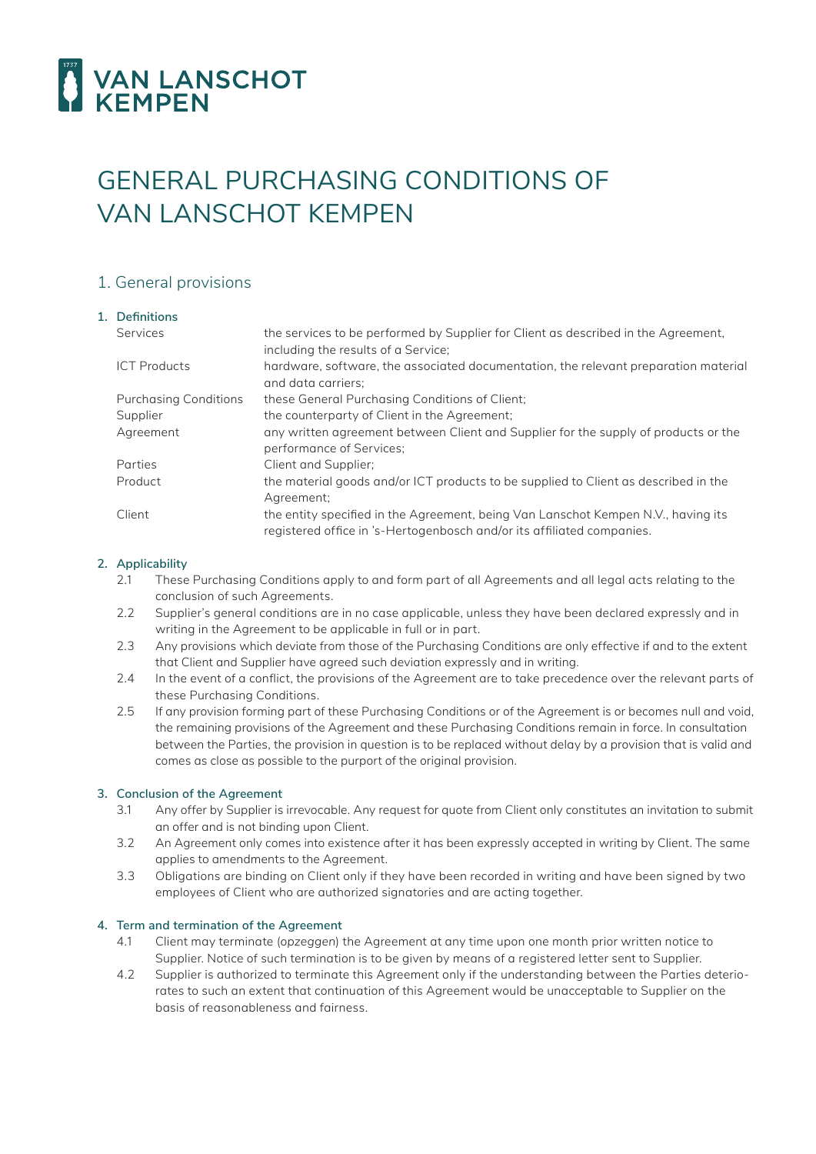

# GENERAL PURCHASING CONDITIONS OF VAN LANSCHOT KEMPEN

# 1. General provisions

| 1. Definitions               |                                                                                                                                                             |
|------------------------------|-------------------------------------------------------------------------------------------------------------------------------------------------------------|
| Services                     | the services to be performed by Supplier for Client as described in the Agreement,<br>including the results of a Service;                                   |
| <b>ICT Products</b>          | hardware, software, the associated documentation, the relevant preparation material<br>and data carriers:                                                   |
| <b>Purchasing Conditions</b> | these General Purchasing Conditions of Client;                                                                                                              |
| Supplier                     | the counterparty of Client in the Agreement;                                                                                                                |
| Agreement                    | any written agreement between Client and Supplier for the supply of products or the<br>performance of Services;                                             |
| Parties                      | Client and Supplier:                                                                                                                                        |
| Product                      | the material goods and/or ICT products to be supplied to Client as described in the<br>Agreement;                                                           |
| Client                       | the entity specified in the Agreement, being Van Lanschot Kempen N.V., having its<br>registered office in 's-Hertogenbosch and/or its affiliated companies. |

## **2. Applicability**

- 2.1 These Purchasing Conditions apply to and form part of all Agreements and all legal acts relating to the conclusion of such Agreements.
- 2.2 Supplier's general conditions are in no case applicable, unless they have been declared expressly and in writing in the Agreement to be applicable in full or in part.
- 2.3 Any provisions which deviate from those of the Purchasing Conditions are only effective if and to the extent that Client and Supplier have agreed such deviation expressly and in writing.
- 2.4 In the event of a conflict, the provisions of the Agreement are to take precedence over the relevant parts of these Purchasing Conditions.
- 2.5 If any provision forming part of these Purchasing Conditions or of the Agreement is or becomes null and void, the remaining provisions of the Agreement and these Purchasing Conditions remain in force. In consultation between the Parties, the provision in question is to be replaced without delay by a provision that is valid and comes as close as possible to the purport of the original provision.

## **3. Conclusion of the Agreement**

- 3.1 Any offer by Supplier is irrevocable. Any request for quote from Client only constitutes an invitation to submit an offer and is not binding upon Client.
- 3.2 An Agreement only comes into existence after it has been expressly accepted in writing by Client. The same applies to amendments to the Agreement.
- 3.3 Obligations are binding on Client only if they have been recorded in writing and have been signed by two employees of Client who are authorized signatories and are acting together.

## **4. Term and termination of the Agreement**

- 4.1 Client may terminate (*opzeggen*) the Agreement at any time upon one month prior written notice to Supplier. Notice of such termination is to be given by means of a registered letter sent to Supplier.
- 4.2 Supplier is authorized to terminate this Agreement only if the understanding between the Parties deteriorates to such an extent that continuation of this Agreement would be unacceptable to Supplier on the basis of reasonableness and fairness.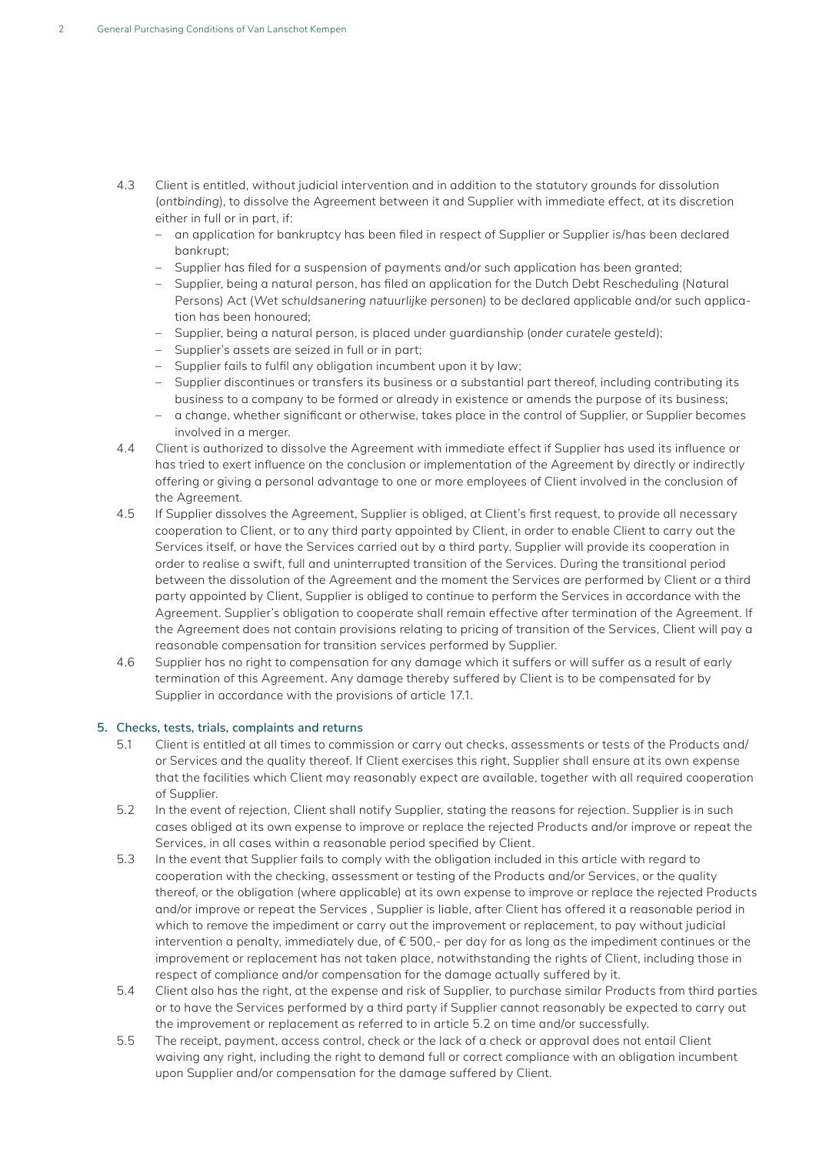- 4.3 Client is entitled, without judicial intervention and in addition to the statutory grounds for dissolution (*ontbinding*), to dissolve the Agreement between it and Supplier with immediate effect, at its discretion either in full or in part, if:
	- an application for bankruptcy has been filed in respect of Supplier or Supplier is/has been declared bankrupt;
	- Supplier has filed for a suspension of payments and/or such application has been granted;
	- Supplier, being a natural person, has filed an application for the Dutch Debt Rescheduling (Natural Persons) Act (*Wet schuldsanering natuurlijke personen*) to be declared applicable and/or such application has been honoured;
	- – Supplier, being a natural person, is placed under guardianship (*onder curatele gesteld*);
	- – Supplier's assets are seized in full or in part;
	- Supplier fails to fulfil any obligation incumbent upon it by law;
	- Supplier discontinues or transfers its business or a substantial part thereof, including contributing its business to a company to be formed or already in existence or amends the purpose of its business;
	- – a change, whether significant or otherwise, takes place in the control of Supplier, or Supplier becomes involved in a merger.
- 4.4 Client is authorized to dissolve the Agreement with immediate effect if Supplier has used its influence or has tried to exert influence on the conclusion or implementation of the Agreement by directly or indirectly offering or giving a personal advantage to one or more employees of Client involved in the conclusion of the Agreement.
- 4.5 If Supplier dissolves the Agreement, Supplier is obliged, at Client's first request, to provide all necessary cooperation to Client, or to any third party appointed by Client, in order to enable Client to carry out the Services itself, or have the Services carried out by a third party. Supplier will provide its cooperation in order to realise a swift, full and uninterrupted transition of the Services. During the transitional period between the dissolution of the Agreement and the moment the Services are performed by Client or a third party appointed by Client, Supplier is obliged to continue to perform the Services in accordance with the Agreement. Supplier's obligation to cooperate shall remain effective after termination of the Agreement. If the Agreement does not contain provisions relating to pricing of transition of the Services, Client will pay a reasonable compensation for transition services performed by Supplier.
- 4.6 Supplier has no right to compensation for any damage which it suffers or will suffer as a result of early termination of this Agreement. Any damage thereby suffered by Client is to be compensated for by Supplier in accordance with the provisions of article 17.1.

## **5. Checks, tests, trials, complaints and returns**

- 5.1 Client is entitled at all times to commission or carry out checks, assessments or tests of the Products and/ or Services and the quality thereof. If Client exercises this right, Supplier shall ensure at its own expense that the facilities which Client may reasonably expect are available, together with all required cooperation of Supplier.
- 5.2 In the event of rejection, Client shall notify Supplier, stating the reasons for rejection. Supplier is in such cases obliged at its own expense to improve or replace the rejected Products and/or improve or repeat the Services, in all cases within a reasonable period specified by Client.
- 5.3 In the event that Supplier fails to comply with the obligation included in this article with regard to cooperation with the checking, assessment or testing of the Products and/or Services, or the quality thereof, or the obligation (where applicable) at its own expense to improve or replace the rejected Products and/or improve or repeat the Services , Supplier is liable, after Client has offered it a reasonable period in which to remove the impediment or carry out the improvement or replacement, to pay without judicial intervention a penalty, immediately due, of € 500,- per day for as long as the impediment continues or the improvement or replacement has not taken place, notwithstanding the rights of Client, including those in respect of compliance and/or compensation for the damage actually suffered by it.
- 5.4 Client also has the right, at the expense and risk of Supplier, to purchase similar Products from third parties or to have the Services performed by a third party if Supplier cannot reasonably be expected to carry out the improvement or replacement as referred to in article 5.2 on time and/or successfully.
- 5.5 The receipt, payment, access control, check or the lack of a check or approval does not entail Client waiving any right, including the right to demand full or correct compliance with an obligation incumbent upon Supplier and/or compensation for the damage suffered by Client.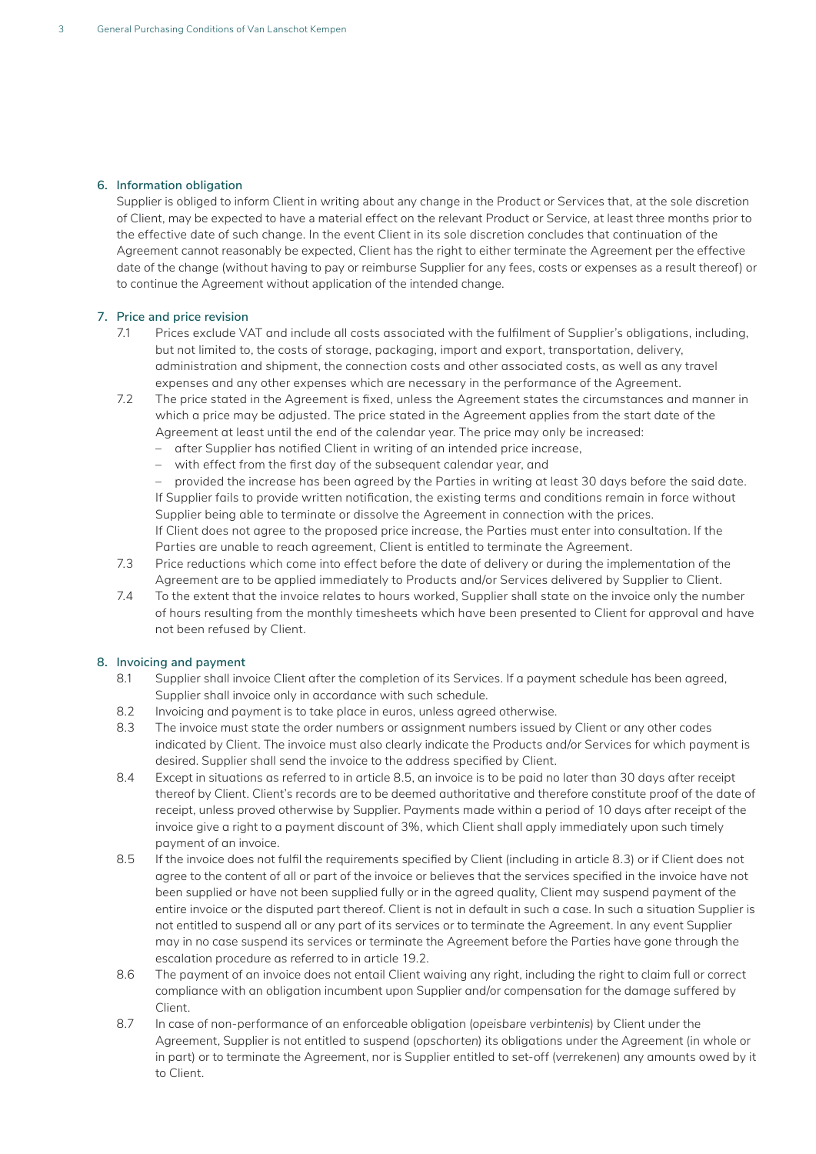## **6. Information obligation**

Supplier is obliged to inform Client in writing about any change in the Product or Services that, at the sole discretion of Client, may be expected to have a material effect on the relevant Product or Service, at least three months prior to the effective date of such change. In the event Client in its sole discretion concludes that continuation of the Agreement cannot reasonably be expected, Client has the right to either terminate the Agreement per the effective date of the change (without having to pay or reimburse Supplier for any fees, costs or expenses as a result thereof) or to continue the Agreement without application of the intended change.

## **7. Price and price revision**

- 7.1 Prices exclude VAT and include all costs associated with the fulfilment of Supplier's obligations, including, but not limited to, the costs of storage, packaging, import and export, transportation, delivery, administration and shipment, the connection costs and other associated costs, as well as any travel expenses and any other expenses which are necessary in the performance of the Agreement.
- 7.2 The price stated in the Agreement is fixed, unless the Agreement states the circumstances and manner in which a price may be adjusted. The price stated in the Agreement applies from the start date of the Agreement at least until the end of the calendar year. The price may only be increased:
	- after Supplier has notified Client in writing of an intended price increase,
	- with effect from the first day of the subsequent calendar year, and

- provided the increase has been agreed by the Parties in writing at least 30 days before the said date. If Supplier fails to provide written notification, the existing terms and conditions remain in force without Supplier being able to terminate or dissolve the Agreement in connection with the prices. If Client does not agree to the proposed price increase, the Parties must enter into consultation. If the Parties are unable to reach agreement, Client is entitled to terminate the Agreement.

- 7.3 Price reductions which come into effect before the date of delivery or during the implementation of the Agreement are to be applied immediately to Products and/or Services delivered by Supplier to Client.
- 7.4 To the extent that the invoice relates to hours worked, Supplier shall state on the invoice only the number of hours resulting from the monthly timesheets which have been presented to Client for approval and have not been refused by Client.

## **8. Invoicing and payment**

- 8.1 Supplier shall invoice Client after the completion of its Services. If a payment schedule has been agreed, Supplier shall invoice only in accordance with such schedule.
- 8.2 Invoicing and payment is to take place in euros, unless agreed otherwise.
- 8.3 The invoice must state the order numbers or assignment numbers issued by Client or any other codes indicated by Client. The invoice must also clearly indicate the Products and/or Services for which payment is desired. Supplier shall send the invoice to the address specified by Client.
- 8.4 Except in situations as referred to in article 8.5, an invoice is to be paid no later than 30 days after receipt thereof by Client. Client's records are to be deemed authoritative and therefore constitute proof of the date of receipt, unless proved otherwise by Supplier. Payments made within a period of 10 days after receipt of the invoice give a right to a payment discount of 3%, which Client shall apply immediately upon such timely payment of an invoice.
- 8.5 If the invoice does not fulfil the requirements specified by Client (including in article 8.3) or if Client does not agree to the content of all or part of the invoice or believes that the services specified in the invoice have not been supplied or have not been supplied fully or in the agreed quality, Client may suspend payment of the entire invoice or the disputed part thereof. Client is not in default in such a case. In such a situation Supplier is not entitled to suspend all or any part of its services or to terminate the Agreement. In any event Supplier may in no case suspend its services or terminate the Agreement before the Parties have gone through the escalation procedure as referred to in article 19.2.
- 8.6 The payment of an invoice does not entail Client waiving any right, including the right to claim full or correct compliance with an obligation incumbent upon Supplier and/or compensation for the damage suffered by Client.
- 8.7 In case of non-performance of an enforceable obligation (*opeisbare verbintenis*) by Client under the Agreement, Supplier is not entitled to suspend (*opschorten*) its obligations under the Agreement (in whole or in part) or to terminate the Agreement, nor is Supplier entitled to set-off (*verrekenen*) any amounts owed by it to Client.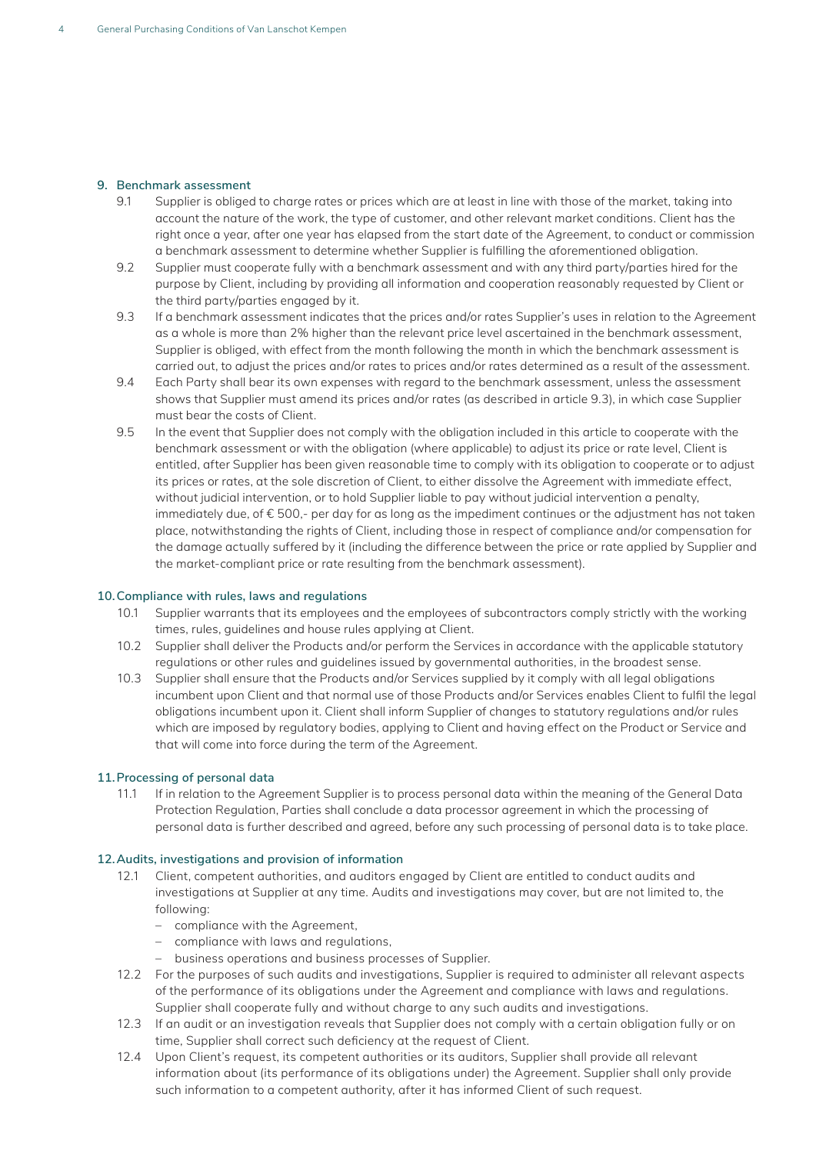## **9. Benchmark assessment**

- 9.1 Supplier is obliged to charge rates or prices which are at least in line with those of the market, taking into account the nature of the work, the type of customer, and other relevant market conditions. Client has the right once a year, after one year has elapsed from the start date of the Agreement, to conduct or commission a benchmark assessment to determine whether Supplier is fulfilling the aforementioned obligation.
- 9.2 Supplier must cooperate fully with a benchmark assessment and with any third party/parties hired for the purpose by Client, including by providing all information and cooperation reasonably requested by Client or the third party/parties engaged by it.
- 9.3 If a benchmark assessment indicates that the prices and/or rates Supplier's uses in relation to the Agreement as a whole is more than 2% higher than the relevant price level ascertained in the benchmark assessment, Supplier is obliged, with effect from the month following the month in which the benchmark assessment is carried out, to adjust the prices and/or rates to prices and/or rates determined as a result of the assessment.
- 9.4 Each Party shall bear its own expenses with regard to the benchmark assessment, unless the assessment shows that Supplier must amend its prices and/or rates (as described in article 9.3), in which case Supplier must bear the costs of Client.
- 9.5 In the event that Supplier does not comply with the obligation included in this article to cooperate with the benchmark assessment or with the obligation (where applicable) to adjust its price or rate level, Client is entitled, after Supplier has been given reasonable time to comply with its obligation to cooperate or to adjust its prices or rates, at the sole discretion of Client, to either dissolve the Agreement with immediate effect, without judicial intervention, or to hold Supplier liable to pay without judicial intervention a penalty, immediately due, of € 500,- per day for as long as the impediment continues or the adjustment has not taken place, notwithstanding the rights of Client, including those in respect of compliance and/or compensation for the damage actually suffered by it (including the difference between the price or rate applied by Supplier and the market-compliant price or rate resulting from the benchmark assessment).

#### **10.Compliance with rules, laws and regulations**

- 10.1 Supplier warrants that its employees and the employees of subcontractors comply strictly with the working times, rules, guidelines and house rules applying at Client.
- 10.2 Supplier shall deliver the Products and/or perform the Services in accordance with the applicable statutory regulations or other rules and guidelines issued by governmental authorities, in the broadest sense.
- 10.3 Supplier shall ensure that the Products and/or Services supplied by it comply with all legal obligations incumbent upon Client and that normal use of those Products and/or Services enables Client to fulfil the legal obligations incumbent upon it. Client shall inform Supplier of changes to statutory regulations and/or rules which are imposed by regulatory bodies, applying to Client and having effect on the Product or Service and that will come into force during the term of the Agreement.

## **11.Processing of personal data**

11.1 If in relation to the Agreement Supplier is to process personal data within the meaning of the General Data Protection Regulation, Parties shall conclude a data processor agreement in which the processing of personal data is further described and agreed, before any such processing of personal data is to take place.

## **12.Audits, investigations and provision of information**

- 12.1 Client, competent authorities, and auditors engaged by Client are entitled to conduct audits and investigations at Supplier at any time. Audits and investigations may cover, but are not limited to, the following:
	- – compliance with the Agreement,
	- – compliance with laws and regulations,
	- – business operations and business processes of Supplier.
- 12.2 For the purposes of such audits and investigations, Supplier is required to administer all relevant aspects of the performance of its obligations under the Agreement and compliance with laws and regulations. Supplier shall cooperate fully and without charge to any such audits and investigations.
- 12.3 If an audit or an investigation reveals that Supplier does not comply with a certain obligation fully or on time, Supplier shall correct such deficiency at the request of Client.
- 12.4 Upon Client's request, its competent authorities or its auditors, Supplier shall provide all relevant information about (its performance of its obligations under) the Agreement. Supplier shall only provide such information to a competent authority, after it has informed Client of such request.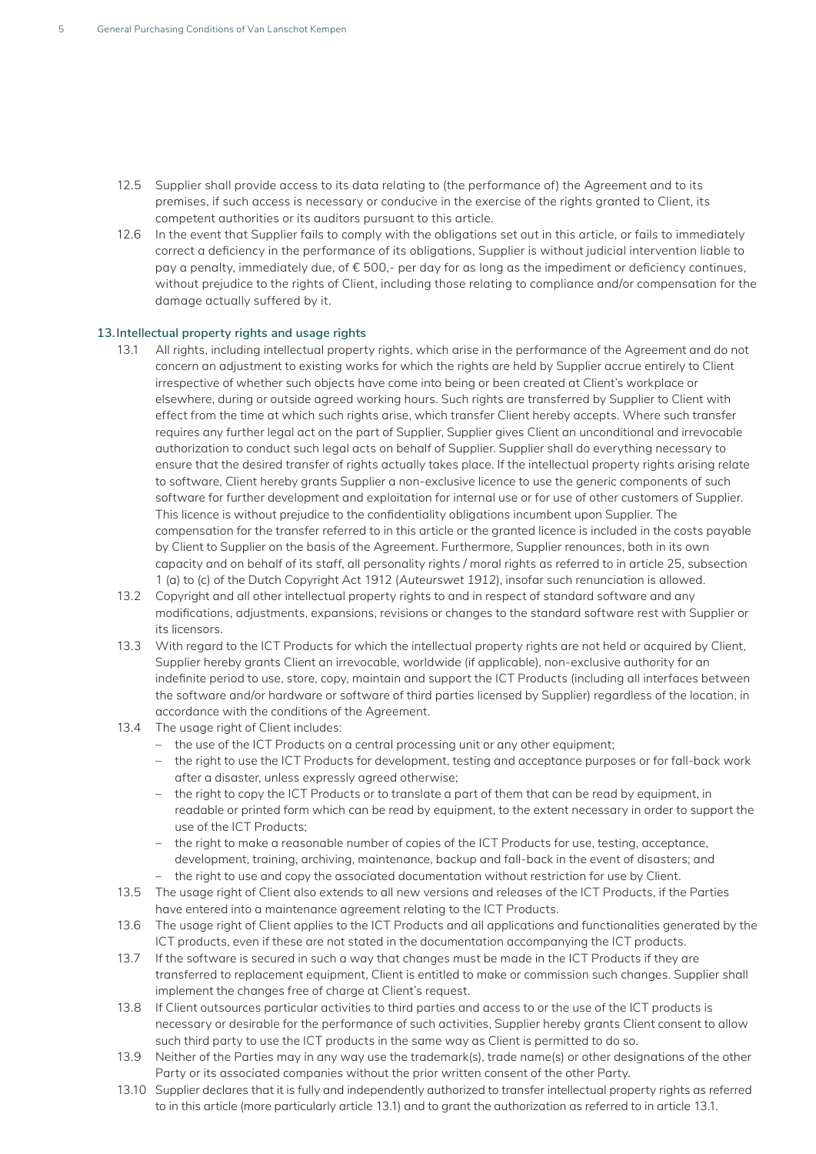- 12.5 Supplier shall provide access to its data relating to (the performance of) the Agreement and to its premises, if such access is necessary or conducive in the exercise of the rights granted to Client, its competent authorities or its auditors pursuant to this article.
- 12.6 In the event that Supplier fails to comply with the obligations set out in this article, or fails to immediately correct a deficiency in the performance of its obligations, Supplier is without judicial intervention liable to pay a penalty, immediately due, of € 500,- per day for as long as the impediment or deficiency continues, without prejudice to the rights of Client, including those relating to compliance and/or compensation for the damage actually suffered by it.

### **13.Intellectual property rights and usage rights**

- 13.1 All rights, including intellectual property rights, which arise in the performance of the Agreement and do not concern an adjustment to existing works for which the rights are held by Supplier accrue entirely to Client irrespective of whether such objects have come into being or been created at Client's workplace or elsewhere, during or outside agreed working hours. Such rights are transferred by Supplier to Client with effect from the time at which such rights arise, which transfer Client hereby accepts. Where such transfer requires any further legal act on the part of Supplier, Supplier gives Client an unconditional and irrevocable authorization to conduct such legal acts on behalf of Supplier. Supplier shall do everything necessary to ensure that the desired transfer of rights actually takes place. If the intellectual property rights arising relate to software, Client hereby grants Supplier a non-exclusive licence to use the generic components of such software for further development and exploitation for internal use or for use of other customers of Supplier. This licence is without prejudice to the confidentiality obligations incumbent upon Supplier. The compensation for the transfer referred to in this article or the granted licence is included in the costs payable by Client to Supplier on the basis of the Agreement. Furthermore, Supplier renounces, both in its own capacity and on behalf of its staff, all personality rights / moral rights as referred to in article 25, subsection 1 (a) to (c) of the Dutch Copyright Act 1912 (*Auteurswet 1912*), insofar such renunciation is allowed.
- 13.2 Copyright and all other intellectual property rights to and in respect of standard software and any modifications, adjustments, expansions, revisions or changes to the standard software rest with Supplier or its licensors.
- 13.3 With regard to the ICT Products for which the intellectual property rights are not held or acquired by Client, Supplier hereby grants Client an irrevocable, worldwide (if applicable), non-exclusive authority for an indefinite period to use, store, copy, maintain and support the ICT Products (including all interfaces between the software and/or hardware or software of third parties licensed by Supplier) regardless of the location, in accordance with the conditions of the Agreement.
- 13.4 The usage right of Client includes:
	- the use of the ICT Products on a central processing unit or any other equipment;
	- the right to use the ICT Products for development, testing and acceptance purposes or for fall-back work after a disaster, unless expressly agreed otherwise;
	- the right to copy the ICT Products or to translate a part of them that can be read by equipment, in readable or printed form which can be read by equipment, to the extent necessary in order to support the use of the ICT Products;
	- the right to make a reasonable number of copies of the ICT Products for use, testing, acceptance, development, training, archiving, maintenance, backup and fall-back in the event of disasters; and
	- the right to use and copy the associated documentation without restriction for use by Client.
- 13.5 The usage right of Client also extends to all new versions and releases of the ICT Products, if the Parties have entered into a maintenance agreement relating to the ICT Products.
- 13.6 The usage right of Client applies to the ICT Products and all applications and functionalities generated by the ICT products, even if these are not stated in the documentation accompanying the ICT products.
- 13.7 If the software is secured in such a way that changes must be made in the ICT Products if they are transferred to replacement equipment, Client is entitled to make or commission such changes. Supplier shall implement the changes free of charge at Client's request.
- 13.8 If Client outsources particular activities to third parties and access to or the use of the ICT products is necessary or desirable for the performance of such activities, Supplier hereby grants Client consent to allow such third party to use the ICT products in the same way as Client is permitted to do so.
- 13.9 Neither of the Parties may in any way use the trademark(s), trade name(s) or other designations of the other Party or its associated companies without the prior written consent of the other Party.
- 13.10 Supplier declares that it is fully and independently authorized to transfer intellectual property rights as referred to in this article (more particularly article 13.1) and to grant the authorization as referred to in article 13.1.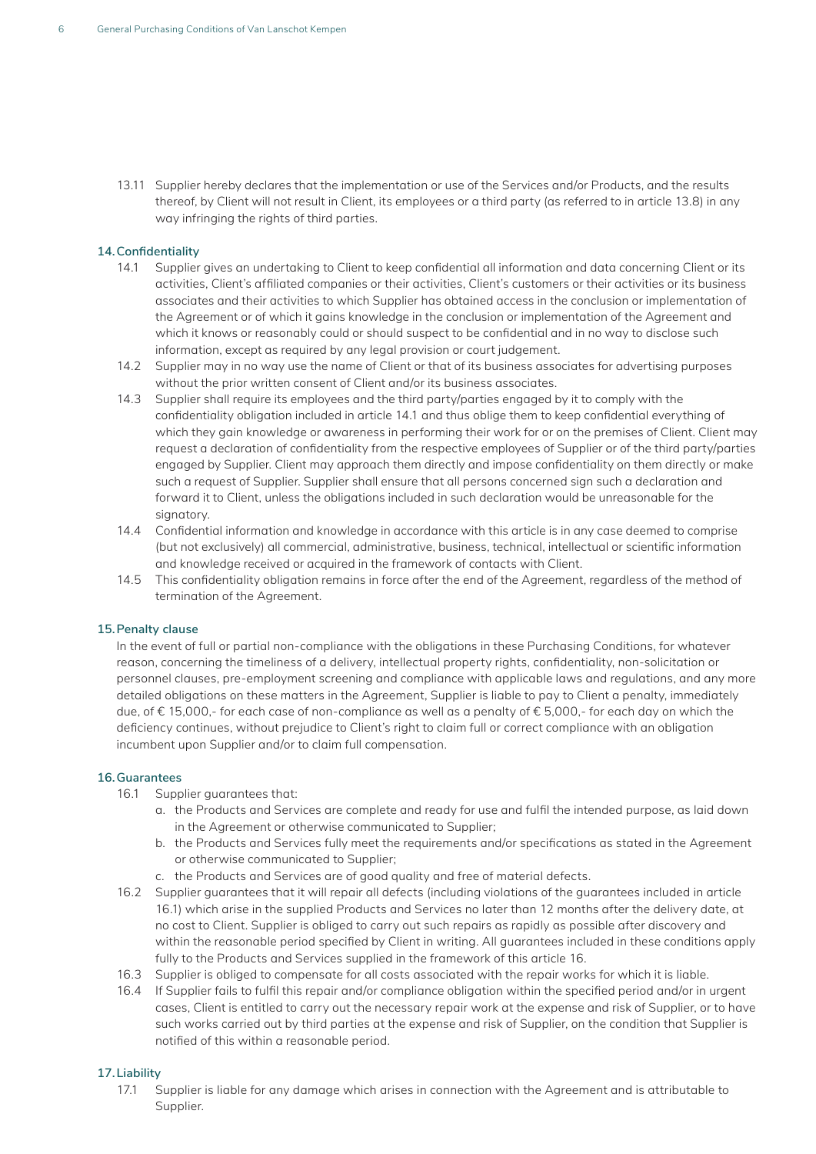13.11 Supplier hereby declares that the implementation or use of the Services and/or Products, and the results thereof, by Client will not result in Client, its employees or a third party (as referred to in article 13.8) in any way infringing the rights of third parties.

## **14.Confidentiality**

- 14.1 Supplier gives an undertaking to Client to keep confidential all information and data concerning Client or its activities, Client's affiliated companies or their activities, Client's customers or their activities or its business associates and their activities to which Supplier has obtained access in the conclusion or implementation of the Agreement or of which it gains knowledge in the conclusion or implementation of the Agreement and which it knows or reasonably could or should suspect to be confidential and in no way to disclose such information, except as required by any legal provision or court judgement.
- 14.2 Supplier may in no way use the name of Client or that of its business associates for advertising purposes without the prior written consent of Client and/or its business associates.
- 14.3 Supplier shall require its employees and the third party/parties engaged by it to comply with the confidentiality obligation included in article 14.1 and thus oblige them to keep confidential everything of which they gain knowledge or awareness in performing their work for or on the premises of Client. Client may request a declaration of confidentiality from the respective employees of Supplier or of the third party/parties engaged by Supplier. Client may approach them directly and impose confidentiality on them directly or make such a request of Supplier. Supplier shall ensure that all persons concerned sign such a declaration and forward it to Client, unless the obligations included in such declaration would be unreasonable for the signatory.
- 14.4 Confidential information and knowledge in accordance with this article is in any case deemed to comprise (but not exclusively) all commercial, administrative, business, technical, intellectual or scientific information and knowledge received or acquired in the framework of contacts with Client.
- 14.5 This confidentiality obligation remains in force after the end of the Agreement, regardless of the method of termination of the Agreement.

#### **15.Penalty clause**

In the event of full or partial non-compliance with the obligations in these Purchasing Conditions, for whatever reason, concerning the timeliness of a delivery, intellectual property rights, confidentiality, non-solicitation or personnel clauses, pre-employment screening and compliance with applicable laws and regulations, and any more detailed obligations on these matters in the Agreement, Supplier is liable to pay to Client a penalty, immediately due, of € 15,000,- for each case of non-compliance as well as a penalty of € 5,000,- for each day on which the deficiency continues, without prejudice to Client's right to claim full or correct compliance with an obligation incumbent upon Supplier and/or to claim full compensation.

## **16.Guarantees**

- 16.1 Supplier guarantees that:
	- a. the Products and Services are complete and ready for use and fulfil the intended purpose, as laid down in the Agreement or otherwise communicated to Supplier;
	- b. the Products and Services fully meet the requirements and/or specifications as stated in the Agreement or otherwise communicated to Supplier;
	- c. the Products and Services are of good quality and free of material defects.
- 16.2 Supplier guarantees that it will repair all defects (including violations of the guarantees included in article 16.1) which arise in the supplied Products and Services no later than 12 months after the delivery date, at no cost to Client. Supplier is obliged to carry out such repairs as rapidly as possible after discovery and within the reasonable period specified by Client in writing. All guarantees included in these conditions apply fully to the Products and Services supplied in the framework of this article 16.
- 16.3 Supplier is obliged to compensate for all costs associated with the repair works for which it is liable.
- 16.4 If Supplier fails to fulfil this repair and/or compliance obligation within the specified period and/or in urgent cases, Client is entitled to carry out the necessary repair work at the expense and risk of Supplier, or to have such works carried out by third parties at the expense and risk of Supplier, on the condition that Supplier is notified of this within a reasonable period.

## **17.Liability**

17.1 Supplier is liable for any damage which arises in connection with the Agreement and is attributable to Supplier.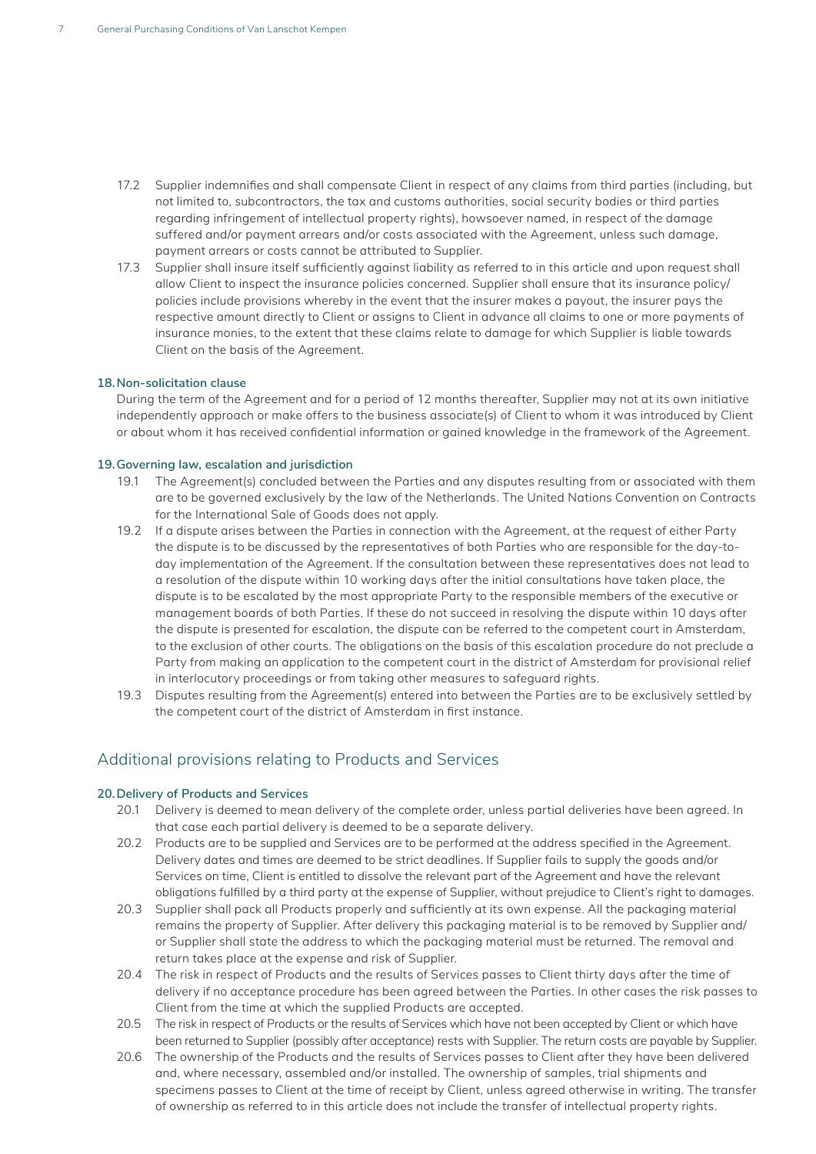- 17.2 Supplier indemnifies and shall compensate Client in respect of any claims from third parties (including, but not limited to, subcontractors, the tax and customs authorities, social security bodies or third parties regarding infringement of intellectual property rights), howsoever named, in respect of the damage suffered and/or payment arrears and/or costs associated with the Agreement, unless such damage, payment arrears or costs cannot be attributed to Supplier.
- 17.3 Supplier shall insure itself sufficiently against liability as referred to in this article and upon request shall allow Client to inspect the insurance policies concerned. Supplier shall ensure that its insurance policy/ policies include provisions whereby in the event that the insurer makes a payout, the insurer pays the respective amount directly to Client or assigns to Client in advance all claims to one or more payments of insurance monies, to the extent that these claims relate to damage for which Supplier is liable towards Client on the basis of the Agreement.

## **18.Non-solicitation clause**

During the term of the Agreement and for a period of 12 months thereafter, Supplier may not at its own initiative independently approach or make offers to the business associate(s) of Client to whom it was introduced by Client or about whom it has received confidential information or gained knowledge in the framework of the Agreement.

#### **19.Governing law, escalation and jurisdiction**

- 19.1 The Agreement(s) concluded between the Parties and any disputes resulting from or associated with them are to be governed exclusively by the law of the Netherlands. The United Nations Convention on Contracts for the International Sale of Goods does not apply.
- 19.2 If a dispute arises between the Parties in connection with the Agreement, at the request of either Party the dispute is to be discussed by the representatives of both Parties who are responsible for the day-today implementation of the Agreement. If the consultation between these representatives does not lead to a resolution of the dispute within 10 working days after the initial consultations have taken place, the dispute is to be escalated by the most appropriate Party to the responsible members of the executive or management boards of both Parties. If these do not succeed in resolving the dispute within 10 days after the dispute is presented for escalation, the dispute can be referred to the competent court in Amsterdam, to the exclusion of other courts. The obligations on the basis of this escalation procedure do not preclude a Party from making an application to the competent court in the district of Amsterdam for provisional relief in interlocutory proceedings or from taking other measures to safeguard rights.
- 19.3 Disputes resulting from the Agreement(s) entered into between the Parties are to be exclusively settled by the competent court of the district of Amsterdam in first instance.

## Additional provisions relating to Products and Services

#### **20.Delivery of Products and Services**

- 20.1 Delivery is deemed to mean delivery of the complete order, unless partial deliveries have been agreed. In that case each partial delivery is deemed to be a separate delivery.
- 20.2 Products are to be supplied and Services are to be performed at the address specified in the Agreement. Delivery dates and times are deemed to be strict deadlines. If Supplier fails to supply the goods and/or Services on time, Client is entitled to dissolve the relevant part of the Agreement and have the relevant obligations fulfilled by a third party at the expense of Supplier, without prejudice to Client's right to damages.
- 20.3 Supplier shall pack all Products properly and sufficiently at its own expense. All the packaging material remains the property of Supplier. After delivery this packaging material is to be removed by Supplier and/ or Supplier shall state the address to which the packaging material must be returned. The removal and return takes place at the expense and risk of Supplier.
- 20.4 The risk in respect of Products and the results of Services passes to Client thirty days after the time of delivery if no acceptance procedure has been agreed between the Parties. In other cases the risk passes to Client from the time at which the supplied Products are accepted.
- 20.5 The risk in respect of Products or the results of Services which have not been accepted by Client or which have been returned to Supplier (possibly after acceptance) rests with Supplier. The return costs are payable by Supplier.
- 20.6 The ownership of the Products and the results of Services passes to Client after they have been delivered and, where necessary, assembled and/or installed. The ownership of samples, trial shipments and specimens passes to Client at the time of receipt by Client, unless agreed otherwise in writing. The transfer of ownership as referred to in this article does not include the transfer of intellectual property rights.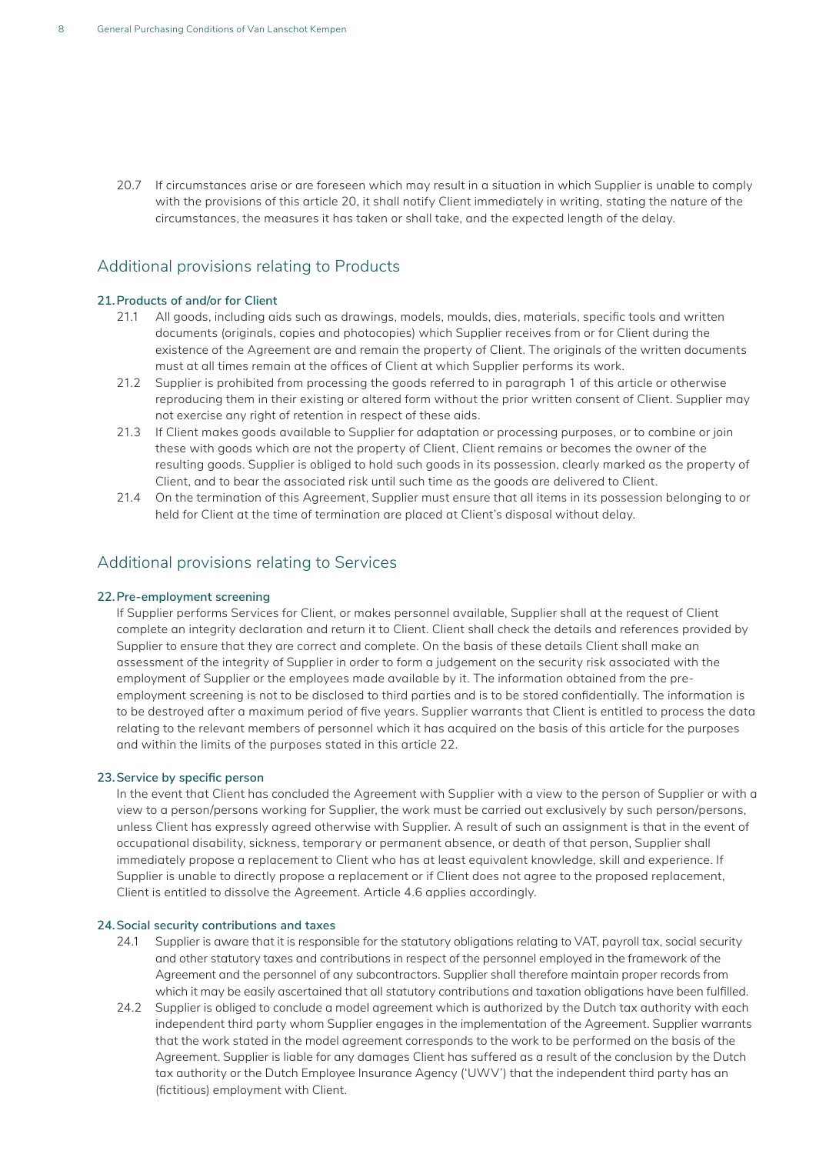20.7 If circumstances arise or are foreseen which may result in a situation in which Supplier is unable to comply with the provisions of this article 20, it shall notify Client immediately in writing, stating the nature of the circumstances, the measures it has taken or shall take, and the expected length of the delay.

# Additional provisions relating to Products

## **21.Products of and/or for Client**

- 21.1 All goods, including aids such as drawings, models, moulds, dies, materials, specific tools and written documents (originals, copies and photocopies) which Supplier receives from or for Client during the existence of the Agreement are and remain the property of Client. The originals of the written documents must at all times remain at the offices of Client at which Supplier performs its work.
- 21.2 Supplier is prohibited from processing the goods referred to in paragraph 1 of this article or otherwise reproducing them in their existing or altered form without the prior written consent of Client. Supplier may not exercise any right of retention in respect of these aids.
- 21.3 If Client makes goods available to Supplier for adaptation or processing purposes, or to combine or join these with goods which are not the property of Client, Client remains or becomes the owner of the resulting goods. Supplier is obliged to hold such goods in its possession, clearly marked as the property of Client, and to bear the associated risk until such time as the goods are delivered to Client.
- 21.4 On the termination of this Agreement, Supplier must ensure that all items in its possession belonging to or held for Client at the time of termination are placed at Client's disposal without delay.

## Additional provisions relating to Services

#### **22.Pre-employment screening**

If Supplier performs Services for Client, or makes personnel available, Supplier shall at the request of Client complete an integrity declaration and return it to Client. Client shall check the details and references provided by Supplier to ensure that they are correct and complete. On the basis of these details Client shall make an assessment of the integrity of Supplier in order to form a judgement on the security risk associated with the employment of Supplier or the employees made available by it. The information obtained from the preemployment screening is not to be disclosed to third parties and is to be stored confidentially. The information is to be destroyed after a maximum period of five years. Supplier warrants that Client is entitled to process the data relating to the relevant members of personnel which it has acquired on the basis of this article for the purposes and within the limits of the purposes stated in this article 22.

## **23.Service by specific person**

In the event that Client has concluded the Agreement with Supplier with a view to the person of Supplier or with a view to a person/persons working for Supplier, the work must be carried out exclusively by such person/persons, unless Client has expressly agreed otherwise with Supplier. A result of such an assignment is that in the event of occupational disability, sickness, temporary or permanent absence, or death of that person, Supplier shall immediately propose a replacement to Client who has at least equivalent knowledge, skill and experience. If Supplier is unable to directly propose a replacement or if Client does not agree to the proposed replacement, Client is entitled to dissolve the Agreement. Article 4.6 applies accordingly.

## **24.Social security contributions and taxes**

- 24.1 Supplier is aware that it is responsible for the statutory obligations relating to VAT, payroll tax, social security and other statutory taxes and contributions in respect of the personnel employed in the framework of the Agreement and the personnel of any subcontractors. Supplier shall therefore maintain proper records from which it may be easily ascertained that all statutory contributions and taxation obligations have been fulfilled.
- 24.2 Supplier is obliged to conclude a model agreement which is authorized by the Dutch tax authority with each independent third party whom Supplier engages in the implementation of the Agreement. Supplier warrants that the work stated in the model agreement corresponds to the work to be performed on the basis of the Agreement. Supplier is liable for any damages Client has suffered as a result of the conclusion by the Dutch tax authority or the Dutch Employee Insurance Agency ('UWV') that the independent third party has an (fictitious) employment with Client.